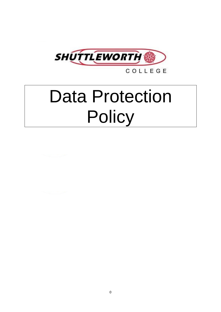

COLLEGE

# Data Protection **Policy**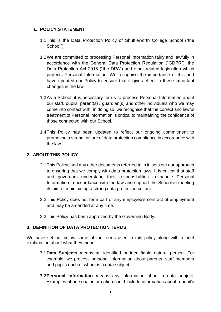## **1. POLICY STATEMENT**

- 1.1This is the Data Protection Policy of Shuttleworth College School ("the School").
- 1.2We are committed to processing Personal Information fairly and lawfully in accordance with the General Data Protection Regulation ("GDPR"), the Data Protection Act 2018 ("the DPA") and other related legislation which protects Personal Information. We recognise the importance of this and have updated our Policy to ensure that it gives effect to these important changes in the law.
- 1.3As a School, it is necessary for us to process Personal Information about our staff, pupils, parent(s) / guardian(s) and other individuals who we may come into contact with. In doing so, we recognise that the correct and lawful treatment of Personal Information is critical to maintaining the confidence of those connected with our School.
- 1.4This Policy has been updated to reflect our ongoing commitment to promoting a strong culture of data protection compliance in accordance with the law.

## **2. ABOUT THIS POLICY**

- 2.1This Policy, and any other documents referred to in it, sets out our approach to ensuring that we comply with data protection laws. It is critical that staff and governors understand their responsibilities to handle Personal Information in accordance with the law and support the School in meeting its aim of maintaining a strong data protection culture.
- 2.2This Policy does not form part of any employee's contract of employment and may be amended at any time.
- 2.3This Policy has been approved by the Governing Body.

## **3. DEFINITION OF DATA PROTECTION TERMS**

We have set out below some of the terms used in this policy along with a brief explanation about what they mean.

- 3.1**Data Subjects** means an identified or identifiable natural person. For example, we process personal information about parents, staff members and pupils each of whom is a data subject.
- 3.2**Personal Information** means any information about a data subject. Examples of personal information could include information about a pupil's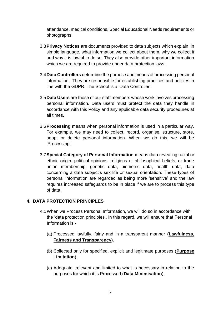attendance, medical conditions, Special Educational Needs requirements or photographs.

- 3.3**Privacy Notices** are documents provided to data subjects which explain, in simple language, what information we collect about them, why we collect it and why it is lawful to do so. They also provide other important information which we are required to provide under data protection laws.
- 3.4**Data Controllers** determine the purpose and means of processing personal information. They are responsible for establishing practices and policies in line with the GDPR. The School is a 'Data Controller'.
- 3.5**Data Users** are those of our staff members whose work involves processing personal information. Data users must protect the data they handle in accordance with this Policy and any applicable data security procedures at all times.
- 3.6**Processing** means when personal information is used in a particular way. For example, we may need to collect, record, organise, structure, store, adapt or delete personal information. When we do this, we will be 'Processing'.
- 3.7**Special Category of Personal Information** means data revealing racial or ethnic origin, political opinions, religious or philosophical beliefs, or trade union membership, genetic data, biometric data, health data, data concerning a data subject's sex life or sexual orientation. These types of personal information are regarded as being more 'sensitive' and the law requires increased safeguards to be in place if we are to process this type of data.

## **4. DATA PROTECTION PRINCIPLES**

- 4.1When we Process Personal Information, we will do so in accordance with the 'data protection principles'. In this regard, we will ensure that Personal Information is:-
	- (a) Processed lawfully, fairly and in a transparent manner **(Lawfulness, Fairness and Transparency**).
	- (b) Collected only for specified, explicit and legitimate purposes (**Purpose Limitation**).
	- (c) Adequate, relevant and limited to what is necessary in relation to the purposes for which it is Processed (**Data Minimisation**).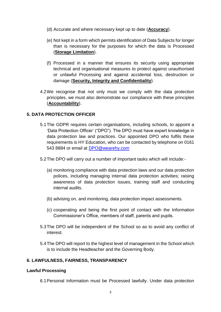- (d) Accurate and where necessary kept up to date (**Accuracy**).
- (e) Not kept in a form which permits identification of Data Subjects for longer than is necessary for the purposes for which the data is Processed (**Storage Limitation**).
- (f) Processed in a manner that ensures its security using appropriate technical and organisational measures to protect against unauthorised or unlawful Processing and against accidental loss, destruction or damage (**Security, Integrity and Confidentiality**).
- 4.2We recognise that not only must we comply with the data protection principles, we must also demonstrate our compliance with these principles (**Accountability**).

## **5. DATA PROTECTION OFFICER**

- 5.1The GDPR requires certain organisations, including schools, to appoint a 'Data Protection Officer' ("DPO"). The DPO must have expert knowledge in data protection law and practices. Our appointed DPO who fulfils these requirements is HY Education, who can be contacted by telephone on 0161 543 8884 or email at [DPO@wearehy.com](mailto:DPO@wearehy.com)
- 5.2The DPO will carry out a number of important tasks which will include:-
	- (a) monitoring compliance with data protection laws and our data protection polices, including managing internal data protection activities; raising awareness of data protection issues, training staff and conducting internal audits.
	- (b) advising on, and monitoring, data protection impact assessments.
	- (c) cooperating and being the first point of contact with the Information Commissioner's Office, members of staff, parents and pupils.
- 5.3The DPO will be independent of the School so as to avoid any conflict of interest.
- 5.4The DPO will report to the highest level of management in the School which is to include the Headteacher and the Governing Body.

## **6. LAWFULNESS, FAIRNESS, TRANSPARENCY**

#### **Lawful Processing**

6.1Personal Information must be Processed lawfully. Under data protection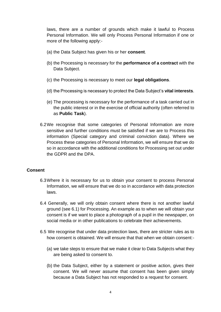laws, there are a number of grounds which make it lawful to Process Personal Information. We will only Process Personal Information if one or more of the following apply:-

- (a) the Data Subject has given his or her **consent**.
- (b) the Processing is necessary for the **performance of a contract** with the Data Subject.
- (c) the Processing is necessary to meet our **legal obligations**.
- (d) the Processing is necessary to protect the Data Subject's **vital interests**.
- (e) The processing is necessary for the performance of a task carried out in the public interest or in the exercise of official authority (often referred to as **Public Task**).
- 6.2We recognise that some categories of Personal Information are more sensitive and further conditions must be satisfied if we are to Process this information (Special category and criminal conviction data). Where we Process these categories of Personal Information, we will ensure that we do so in accordance with the additional conditions for Processing set out under the GDPR and the DPA.

#### **Consent**

- 6.3Where it is necessary for us to obtain your consent to process Personal Information, we will ensure that we do so in accordance with data protection laws.
- 6.4 Generally, we will only obtain consent where there is not another lawful ground (see 6.1) for Processing. An example as to when we will obtain your consent is if we want to place a photograph of a pupil in the newspaper, on social media or in other publications to celebrate their achievements.
- 6.5 We recognise that under data protection laws, there are stricter rules as to how consent is obtained. We will ensure that that when we obtain consent:-
	- (a) we take steps to ensure that we make it clear to Data Subjects what they are being asked to consent to.
	- (b) the Data Subject, either by a statement or positive action, gives their consent. We will never assume that consent has been given simply because a Data Subject has not responded to a request for consent.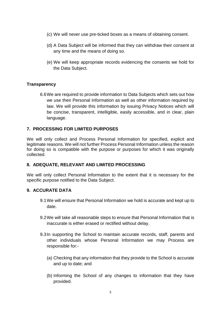- (c) We will never use pre-ticked boxes as a means of obtaining consent.
- (d) A Data Subject will be informed that they can withdraw their consent at any time and the means of doing so.
- (e) We will keep appropriate records evidencing the consents we hold for the Data Subject.

## **Transparency**

6.6We are required to provide information to Data Subjects which sets out how we use their Personal Information as well as other information required by law. We will provide this information by issuing Privacy Notices which will be concise, transparent, intelligible, easily accessible, and in clear, plain language.

## **7. PROCESSING FOR LIMITED PURPOSES**

We will only collect and Process Personal Information for specified, explicit and legitimate reasons. We will not further Process Personal Information unless the reason for doing so is compatible with the purpose or purposes for which it was originally collected.

## **8. ADEQUATE, RELEVANT AND LIMITED PROCESSING**

We will only collect Personal Information to the extent that it is necessary for the specific purpose notified to the Data Subject.

#### **9. ACCURATE DATA**

- 9.1We will ensure that Personal Information we hold is accurate and kept up to date.
- 9.2We will take all reasonable steps to ensure that Personal Information that is inaccurate is either erased or rectified without delay.
- 9.3In supporting the School to maintain accurate records, staff, parents and other individuals whose Personal Information we may Process are responsible for:-
	- (a) Checking that any information that they provide to the School is accurate and up to date; and
	- (b) Informing the School of any changes to information that they have provided.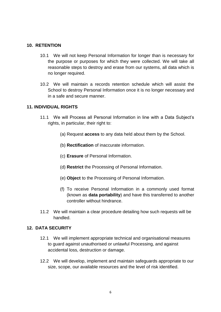## **10. RETENTION**

- 10.1 We will not keep Personal Information for longer than is necessary for the purpose or purposes for which they were collected. We will take all reasonable steps to destroy and erase from our systems, all data which is no longer required.
- 10.2 We will maintain a records retention schedule which will assist the School to destroy Personal Information once it is no longer necessary and in a safe and secure manner.

#### **11. INDIVIDUAL RIGHTS**

- 11.1 We will Process all Personal Information in line with a Data Subject's rights, in particular, their right to:
	- (a) Request **access** to any data held about them by the School.
	- (b) **Rectification** of inaccurate information.
	- (c) **Erasure** of Personal Information.
	- (d) **Restrict** the Processing of Personal Information.
	- (e) **Object** to the Processing of Personal Information.
	- (f) To receive Personal Information in a commonly used format (known as **data portability**) and have this transferred to another controller without hindrance.
- 11.2 We will maintain a clear procedure detailing how such requests will be handled.

#### **12. DATA SECURITY**

- 12.1 We will implement appropriate technical and organisational measures to guard against unauthorised or unlawful Processing, and against accidental loss, destruction or damage.
- 12.2 We will develop, implement and maintain safeguards appropriate to our size, scope, our available resources and the level of risk identified.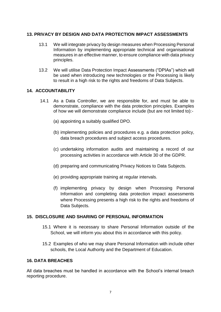## **13. PRIVACY BY DESIGN AND DATA PROTECTION IMPACT ASSESSMENTS**

- 13.1 We will integrate privacy by design measures when Processing Personal Information by implementing appropriate technical and organisational measures in an effective manner, to ensure compliance with data privacy principles.
- 13.2 We will utilise Data Protection Impact Assessments ("DPIAs") which will be used when introducing new technologies or the Processing is likely to result in a high risk to the rights and freedoms of Data Subjects.

## **14. ACCOUNTABILITY**

- 14.1 As a Data Controller, we are responsible for, and must be able to demonstrate, compliance with the data protection principles. Examples of how we will demonstrate compliance include (but are not limited to):-
	- (a) appointing a suitably qualified DPO.
	- (b) implementing policies and procedures e.g. a data protection policy, data breach procedures and subject access procedures.
	- (c) undertaking information audits and maintaining a record of our processing activities in accordance with Article 30 of the GDPR.
	- (d) preparing and communicating Privacy Notices to Data Subjects.
	- (e) providing appropriate training at regular intervals.
	- (f) implementing privacy by design when Processing Personal Information and completing data protection impact assessments where Processing presents a high risk to the rights and freedoms of Data Subjects.

## **15. DISCLOSURE AND SHARING OF PERSONAL INFORMATION**

- 15.1 Where it is necessary to share Personal Information outside of the School, we will inform you about this in accordance with this policy.
- 15.2 Examples of who we may share Personal Information with include other schools, the Local Authority and the Department of Education.

#### **16. DATA BREACHES**

All data breaches must be handled in accordance with the School's internal breach reporting procedure.